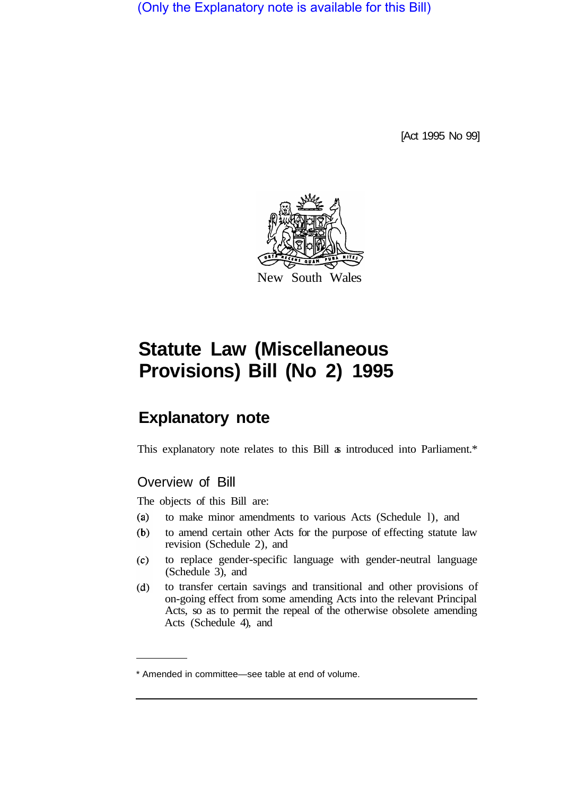(Only the Explanatory note is available for this Bill)

[Act 1995 No 99]



# **Statute Law (Miscellaneous Provisions) Bill (No 2) 1995**

# **Explanatory note**

This explanatory note relates to this Bill  $\alpha$  introduced into Parliament.\*

# Overview of Bill

The objects of this Bill are:

- $(a)$ to make minor amendments to various Acts (Schedule l), and
- $(b)$ to amend certain other Acts for the purpose of effecting statute law revision (Schedule 2), and
- $(c)$ to replace gender-specific language with gender-neutral language (Schedule 3), and
- to transfer certain savings and transitional and other provisions of  $(d)$ on-going effect from some amending Acts into the relevant Principal Acts, so as to permit the repeal of the otherwise obsolete amending Acts (Schedule 4), and

<sup>\*</sup> Amended in committee—see table at end of volume.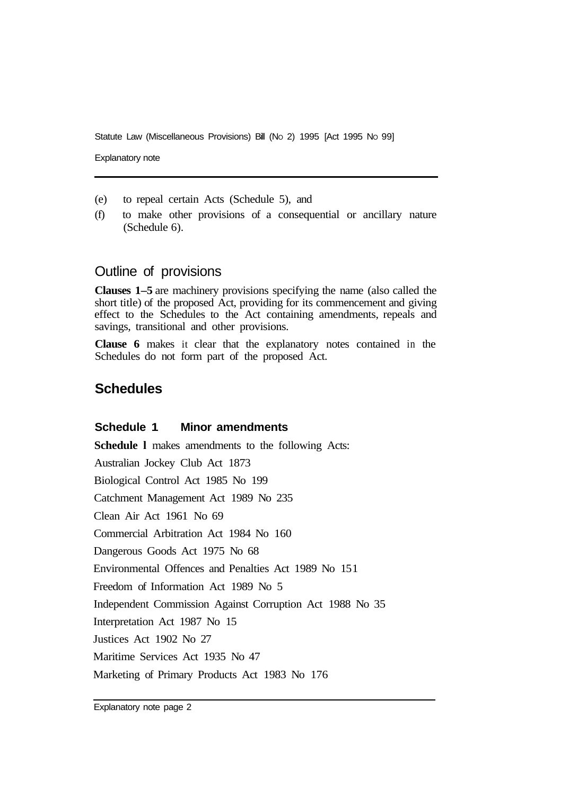Statute Law (Miscellaneous Provisions) Bill (No 2) 1995 [Act 1995 No 99]

Explanatory note

- (e) to repeal certain Acts (Schedule 5), and
- (f) to make other provisions of a consequential or ancillary nature (Schedule 6).

#### Outline of provisions

**Clauses 1–5** are machinery provisions specifying the name (also called the short title) of the proposed Act, providing for its commencement and giving effect to the Schedules to the Act containing amendments, repeals and savings, transitional and other provisions.

**Clause 6** makes it clear that the explanatory notes contained in the Schedules do not form part of the proposed Act.

### **Schedules**

#### **Schedule 1 Minor amendments**

**Schedule l** makes amendments to the following Acts: Australian Jockey Club Act 1873 Biological Control Act 1985 No 199 Catchment Management Act 1989 No 235 Clean Air Act 1961 No 69 Commercial Arbitration Act 1984 No 160 Dangerous Goods Act 1975 No 68 Environmental Offences and Penalties Act 1989 No 15 1 Freedom of Information Act 1989 No 5 Independent Commission Against Corruption Act 1988 No 35 Interpretation Act 1987 No 15 Justices Act 1902 No 27 Maritime Services Act 1935 No 47 Marketing of Primary Products Act 1983 No 176

Explanatory note page 2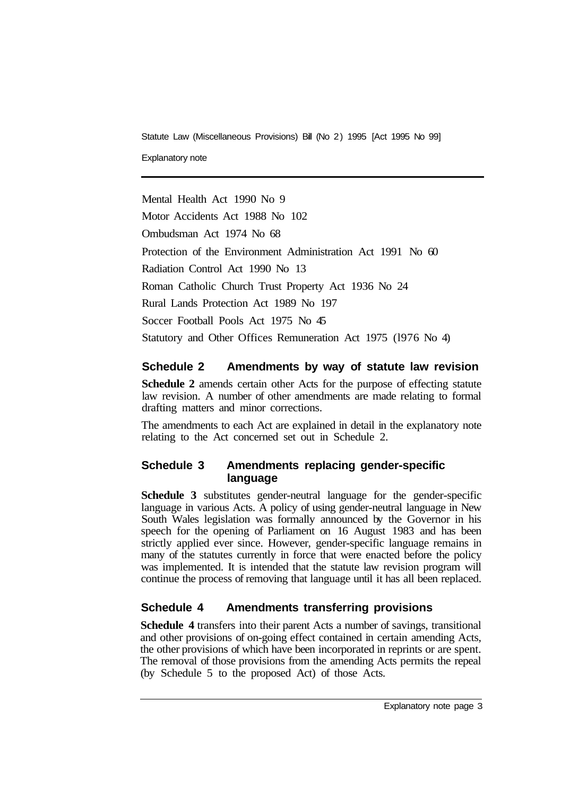Statute Law (Miscellaneous Provisions) Bill (No 2) 1995 [Act 1995 No 99]

Explanatory note

Mental Health Act 1990 No 9

Motor Accidents Act 1988 No 102

Ombudsman Act 1974 No 68

Protection of the Environment Administration Act 1991 No 60

Radiation Control Act 1990 No 13

Roman Catholic Church Trust Property Act 1936 No 24

Rural Lands Protection Act 1989 No 197

Soccer Football Pools Act 1975 No 45

Statutory and Other Offices Remuneration Act 1975 (l976 No 4)

### **Schedule 2 Amendments by way of statute law revision**

**Schedule 2** amends certain other Acts for the purpose of effecting statute law revision. A number of other amendments are made relating to formal drafting matters and minor corrections.

The amendments to each Act are explained in detail in the explanatory note relating to the Act concerned set out in Schedule 2.

#### **Schedule 3 Amendments replacing gender-specific language**

**Schedule 3** substitutes gender-neutral language for the gender-specific language in various Acts. A policy of using gender-neutral language in New South Wales legislation was formally announced by the Governor in his speech for the opening of Parliament on 16 August 1983 and has been strictly applied ever since. However, gender-specific language remains in many of the statutes currently in force that were enacted before the policy was implemented. It is intended that the statute law revision program will continue the process of removing that language until it has all been replaced.

## **Schedule 4 Amendments transferring provisions**

**Schedule 4** transfers into their parent Acts a number of savings, transitional and other provisions of on-going effect contained in certain amending Acts, the other provisions of which have been incorporated in reprints or are spent. The removal of those provisions from the amending Acts permits the repeal (by Schedule 5 to the proposed Act) of those Acts.